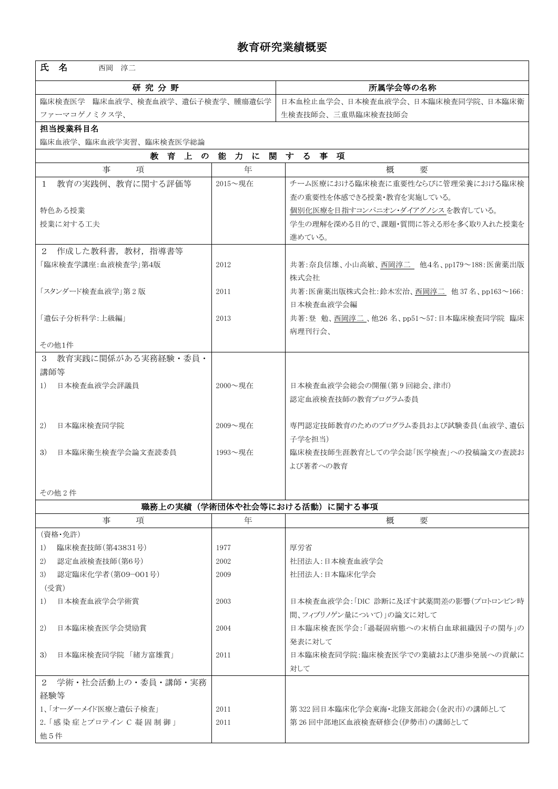| 教育研究業績概要                            |                                                         |                                          |  |  |  |  |  |  |
|-------------------------------------|---------------------------------------------------------|------------------------------------------|--|--|--|--|--|--|
| 氏名<br>西岡 淳二                         |                                                         |                                          |  |  |  |  |  |  |
| 研究分野                                |                                                         | 所属学会等の名称                                 |  |  |  |  |  |  |
| 臨床検査医学 臨床血液学、検査血液学、遺伝子検査学、腫瘍遺伝学     |                                                         | 日本血栓止血学会、日本検査血液学会、日本臨床検査同学院、日本臨床衛        |  |  |  |  |  |  |
| ファーマコゲノミクス学、                        |                                                         | 生検査技師会、三重県臨床検査技師会                        |  |  |  |  |  |  |
| 担当授業科目名                             |                                                         |                                          |  |  |  |  |  |  |
| 臨床血液学、臨床血液学実習、臨床検査医学総論              |                                                         |                                          |  |  |  |  |  |  |
| 能力に<br>関<br>する事項<br>教 育 上 の         |                                                         |                                          |  |  |  |  |  |  |
| 事<br>項                              | 年                                                       | 概<br>要                                   |  |  |  |  |  |  |
| 1 教育の実践例、教育に関する評価等                  | 2015~現在                                                 | チーム医療における臨床検査に重要性ならびに管理栄養における臨床検         |  |  |  |  |  |  |
|                                     |                                                         | 査の重要性を体感できる授業・教育を実施している。                 |  |  |  |  |  |  |
| 特色ある授業                              |                                                         | 個別化医療を目指すコンパニオン・ダイアグノシス を教育している。         |  |  |  |  |  |  |
| 授業に対する工夫                            |                                                         | 学生の理解を深める目的で、課題・質問に答える形を多く取り入れた授業を       |  |  |  |  |  |  |
|                                     |                                                         | 進めている。                                   |  |  |  |  |  |  |
| 2 作成した教科書, 教材, 指導書等                 |                                                         |                                          |  |  |  |  |  |  |
| 「臨床検査学講座:血液検査学」第4版                  | 2012                                                    | 共著:奈良信雄、小山高敏、西岡淳二 他4名、pp179~188:医歯薬出版    |  |  |  |  |  |  |
|                                     |                                                         | 株式会社                                     |  |  |  |  |  |  |
| 「スタンダード検査血液学」第2版                    | 2011                                                    | 共著:医歯薬出版株式会社:鈴木宏治、西岡淳二 他 37 名、pp163~166: |  |  |  |  |  |  |
| 「遺伝子分析科学:上級編」                       |                                                         | 日本検査血液学会編                                |  |  |  |  |  |  |
|                                     | 共著:登 勉、西岡淳二、他26名、pp51~57:日本臨床検査同学院 臨床<br>2013<br>病理刊行会、 |                                          |  |  |  |  |  |  |
| その他1件                               |                                                         |                                          |  |  |  |  |  |  |
| 教育実践に関係がある実務経験・委員・<br>$\mathcal{S}$ |                                                         |                                          |  |  |  |  |  |  |
| 講師等                                 |                                                         |                                          |  |  |  |  |  |  |
| 日本検査血液学会評議員<br>1)                   | 2000~現在                                                 | 日本検査血液学会総会の開催(第9回総会、津市)                  |  |  |  |  |  |  |
|                                     |                                                         | 認定血液検査技師の教育プログラム委員                       |  |  |  |  |  |  |
|                                     |                                                         |                                          |  |  |  |  |  |  |
| 2)<br>日本臨床検査同学院                     | $2009 -   \n  3$                                        | 専門認定技師教育のためのプログラム委員および試験委員(血液学、遺伝        |  |  |  |  |  |  |
|                                     |                                                         | 子学を担当)                                   |  |  |  |  |  |  |
| 3)<br>日本臨床衛生検査学会論文査読委員              | 1993~現在                                                 | 臨床検査技師生涯教育としての学会誌「医学検査」への投稿論文の査読お        |  |  |  |  |  |  |
|                                     |                                                         | よび著者への教育                                 |  |  |  |  |  |  |
|                                     |                                                         |                                          |  |  |  |  |  |  |
| その他2件                               |                                                         |                                          |  |  |  |  |  |  |
| 職務上の実績(学術団体や社会等における活動)に関する事項        |                                                         |                                          |  |  |  |  |  |  |

|                              | 事<br>項               | 年    | 概<br>要                               |  |  |  |
|------------------------------|----------------------|------|--------------------------------------|--|--|--|
| (資格・免許)                      |                      |      |                                      |  |  |  |
| 1)                           | 臨床検査技師(第43831号)      | 1977 | 厚労省                                  |  |  |  |
| 2)                           | 認定血液検査技師(第6号)        | 2002 | 社団法人:日本検査血液学会                        |  |  |  |
| 3)                           | 認定臨床化学者(第09-001号)    | 2009 | 社団法人:日本臨床化学会                         |  |  |  |
|                              | (受賞)                 |      |                                      |  |  |  |
| 1)                           | 日本検査血液学会学術賞          | 2003 | 日本検査血液学会:「DIC 診断に及ぼす試薬間差の影響(プロトロンビン時 |  |  |  |
|                              |                      |      | 間、フィブリノゲン量について)」の論文に対して              |  |  |  |
| 2)                           | 日本臨床検査医学会奨励賞         | 2004 | 日本臨床検査医学会:「過凝固病態への末梢白血球組織因子の関与」の     |  |  |  |
|                              |                      |      | 発表に対して                               |  |  |  |
| 3)                           | 日本臨床検査同学院 「緒方富雄賞」    | 2011 | 日本臨床検査同学院:臨床検査医学での業績および進歩発展への貢献に     |  |  |  |
|                              |                      |      | 対して                                  |  |  |  |
|                              | 2 学術・社会活動上の・委員・講師・実務 |      |                                      |  |  |  |
| 経験等                          |                      |      |                                      |  |  |  |
| 1、「オーダーメイド医療と遺伝子検査」          |                      | 2011 | 第 322 回日本臨床化学会東海・北陸支部総会(金沢市)の講師として   |  |  |  |
| 2. 「感 染 症 とプロテイン C 凝 固 制 御 」 |                      | 2011 | 第26回中部地区血液検査研修会(伊勢市)の講師として           |  |  |  |
| 他 5件                         |                      |      |                                      |  |  |  |